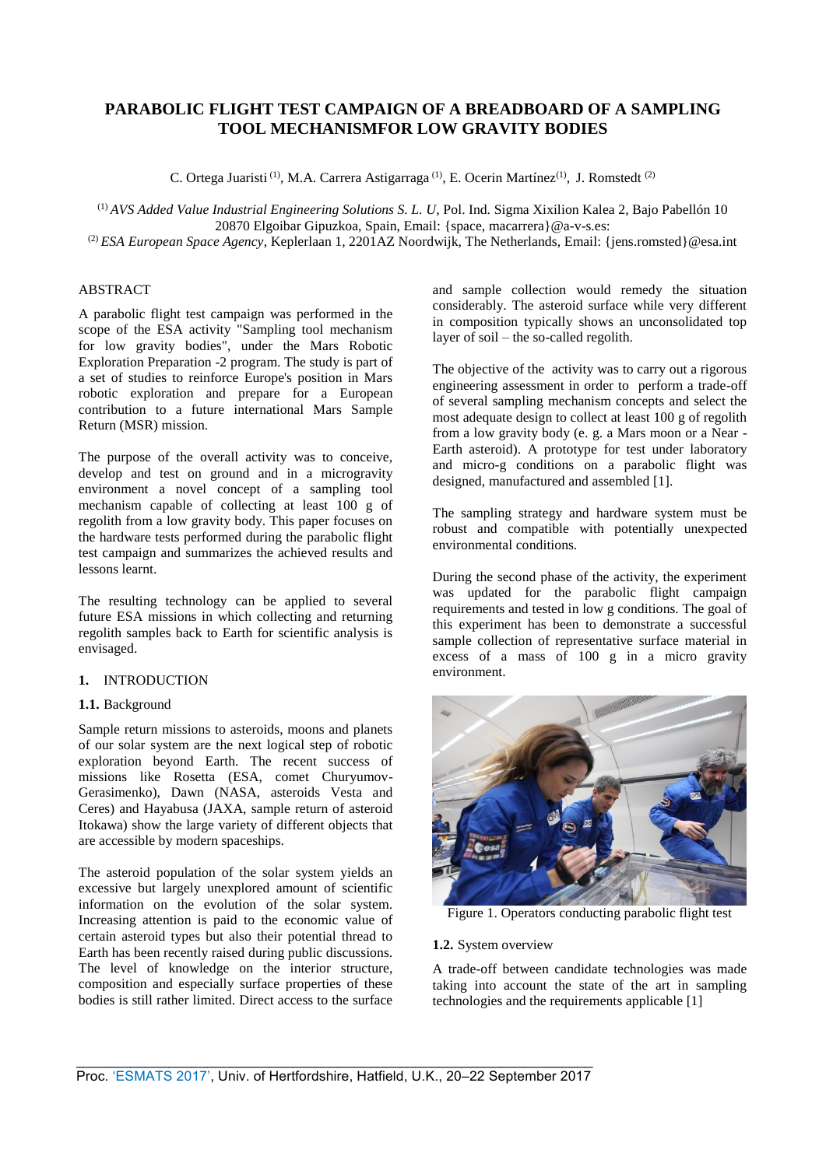# **PARABOLIC FLIGHT TEST CAMPAIGN OF A BREADBOARD OF A SAMPLING TOOL MECHANISMFOR LOW GRAVITY BODIES**

C. Ortega Juaristi<sup>(1)</sup>, M.A. Carrera Astigarraga<sup>(1)</sup>, E. Ocerin Martínez<sup>(1)</sup>, J. Romstedt<sup>(2)</sup>

(1) *AVS Added Value Industrial Engineering Solutions S. L. U*, Pol. Ind. Sigma Xixilion Kalea 2, Bajo Pabellón 10 20870 Elgoibar Gipuzkoa, Spain, Email: {space, macarrera}@a-v-s.es:

(2) *ESA European Space Agency*, Keplerlaan 1, 2201AZ Noordwijk, The Netherlands, Email: {jens.romsted}@esa.int

# ABSTRACT

A parabolic flight test campaign was performed in the scope of the ESA activity "Sampling tool mechanism for low gravity bodies", under the Mars Robotic Exploration Preparation -2 program. The study is part of a set of studies to reinforce Europe's position in Mars robotic exploration and prepare for a European contribution to a future international Mars Sample Return (MSR) mission.

The purpose of the overall activity was to conceive, develop and test on ground and in a microgravity environment a novel concept of a sampling tool mechanism capable of collecting at least 100 g of regolith from a low gravity body. This paper focuses on the hardware tests performed during the parabolic flight test campaign and summarizes the achieved results and lessons learnt.

The resulting technology can be applied to several future ESA missions in which collecting and returning regolith samples back to Earth for scientific analysis is envisaged.

# **1.** INTRODUCTION

## **1.1.** Background

Sample return missions to asteroids, moons and planets of our solar system are the next logical step of robotic exploration beyond Earth. The recent success of missions like Rosetta (ESA, comet Churyumov-Gerasimenko), Dawn (NASA, asteroids Vesta and Ceres) and Hayabusa (JAXA, sample return of asteroid Itokawa) show the large variety of different objects that are accessible by modern spaceships.

The asteroid population of the solar system yields an excessive but largely unexplored amount of scientific information on the evolution of the solar system. Increasing attention is paid to the economic value of certain asteroid types but also their potential thread to Earth has been recently raised during public discussions. The level of knowledge on the interior structure, composition and especially surface properties of these bodies is still rather limited. Direct access to the surface and sample collection would remedy the situation considerably. The asteroid surface while very different in composition typically shows an unconsolidated top layer of soil – the so-called regolith.

The objective of the activity was to carry out a rigorous engineering assessment in order to perform a trade-off of several sampling mechanism concepts and select the most adequate design to collect at least 100 g of regolith from a low gravity body (e. g. a Mars moon or a Near - Earth asteroid). A prototype for test under laboratory and micro-g conditions on a parabolic flight was designed, manufactured and assembled [1].

The sampling strategy and hardware system must be robust and compatible with potentially unexpected environmental conditions.

During the second phase of the activity, the experiment was updated for the parabolic flight campaign requirements and tested in low g conditions. The goal of this experiment has been to demonstrate a successful sample collection of representative surface material in excess of a mass of 100 g in a micro gravity environment.



Figure 1. Operators conducting parabolic flight test

#### **1.2.** System overview

A trade-off between candidate technologies was made taking into account the state of the art in sampling technologies and the requirements applicable [1]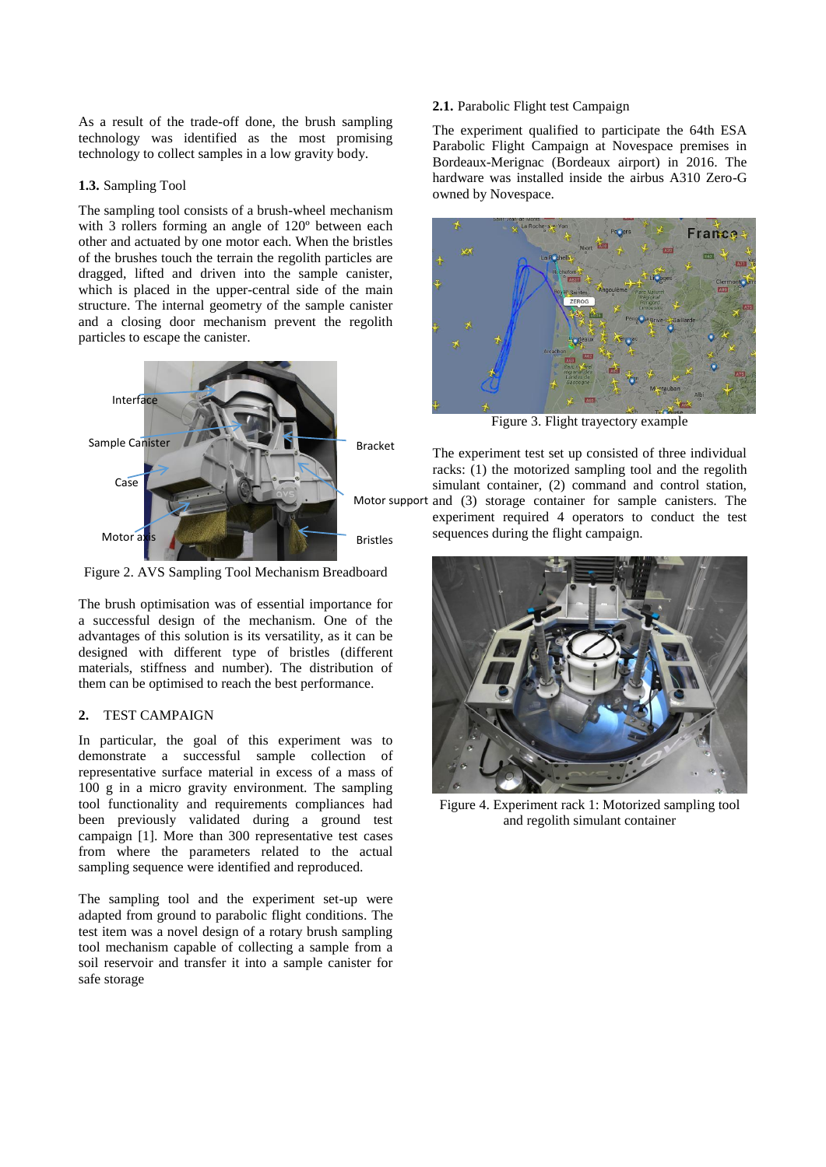As a result of the trade-off done, the brush sampling technology was identified as the most promising technology to collect samples in a low gravity body.

#### **1.3.** Sampling Tool

The sampling tool consists of a brush-wheel mechanism with 3 rollers forming an angle of 120º between each other and actuated by one motor each. When the bristles of the brushes touch the terrain the regolith particles are dragged, lifted and driven into the sample canister, which is placed in the upper-central side of the main structure. The internal geometry of the sample canister and a closing door mechanism prevent the regolith particles to escape the canister.



Figure 2. AVS Sampling Tool Mechanism Breadboard

The brush optimisation was of essential importance for a successful design of the mechanism. One of the advantages of this solution is its versatility, as it can be designed with different type of bristles (different materials, stiffness and number). The distribution of them can be optimised to reach the best performance.

#### **2.** TEST CAMPAIGN

In particular, the goal of this experiment was to demonstrate a successful sample collection of representative surface material in excess of a mass of 100 g in a micro gravity environment. The sampling tool functionality and requirements compliances had been previously validated during a ground test campaign [1]. More than 300 representative test cases from where the parameters related to the actual sampling sequence were identified and reproduced.

The sampling tool and the experiment set-up were adapted from ground to parabolic flight conditions. The test item was a novel design of a rotary brush sampling tool mechanism capable of collecting a sample from a soil reservoir and transfer it into a sample canister for safe storage

## **2.1.** Parabolic Flight test Campaign

The experiment qualified to participate the 64th ESA Parabolic Flight Campaign at Novespace premises in Bordeaux-Merignac (Bordeaux airport) in 2016. The hardware was installed inside the airbus A310 Zero-G owned by Novespace.



Figure 3. Flight trayectory example

The experiment test set up consisted of three individual racks: (1) the motorized sampling tool and the regolith simulant container, (2) command and control station, and (3) storage container for sample canisters. The experiment required 4 operators to conduct the test sequences during the flight campaign.



Figure 4. Experiment rack 1: Motorized sampling tool and regolith simulant container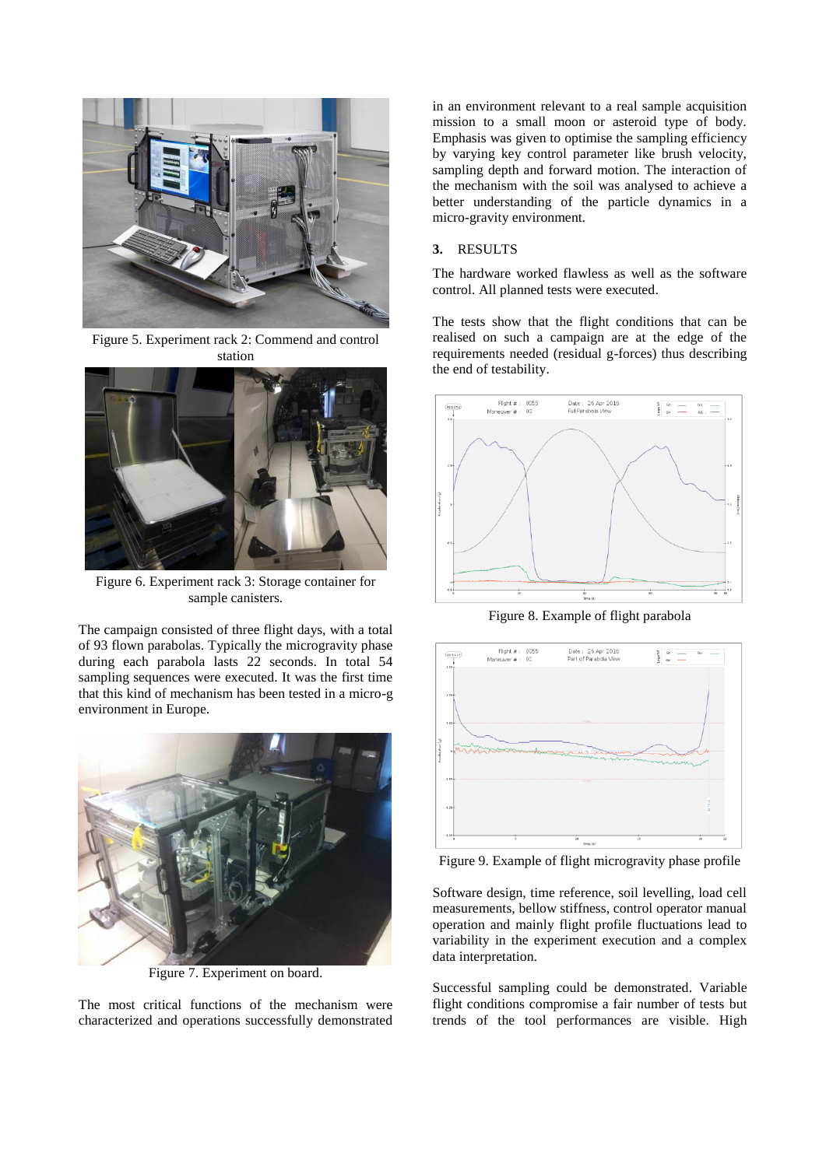

Figure 5. Experiment rack 2: Commend and control station



Figure 6. Experiment rack 3: Storage container for sample canisters.

The campaign consisted of three flight days, with a total of 93 flown parabolas. Typically the microgravity phase during each parabola lasts 22 seconds. In total 54 sampling sequences were executed. It was the first time that this kind of mechanism has been tested in a micro-g environment in Europe.



Figure 7. Experiment on board.

The most critical functions of the mechanism were characterized and operations successfully demonstrated in an environment relevant to a real sample acquisition mission to a small moon or asteroid type of body. Emphasis was given to optimise the sampling efficiency by varying key control parameter like brush velocity, sampling depth and forward motion. The interaction of the mechanism with the soil was analysed to achieve a better understanding of the particle dynamics in a micro-gravity environment.

## **3.** RESULTS

The hardware worked flawless as well as the software control. All planned tests were executed.

The tests show that the flight conditions that can be realised on such a campaign are at the edge of the requirements needed (residual g-forces) thus describing the end of testability.



Figure 8. Example of flight parabola



Figure 9. Example of flight microgravity phase profile

Software design, time reference, soil levelling, load cell measurements, bellow stiffness, control operator manual operation and mainly flight profile fluctuations lead to variability in the experiment execution and a complex data interpretation.

Successful sampling could be demonstrated. Variable flight conditions compromise a fair number of tests but trends of the tool performances are visible. High